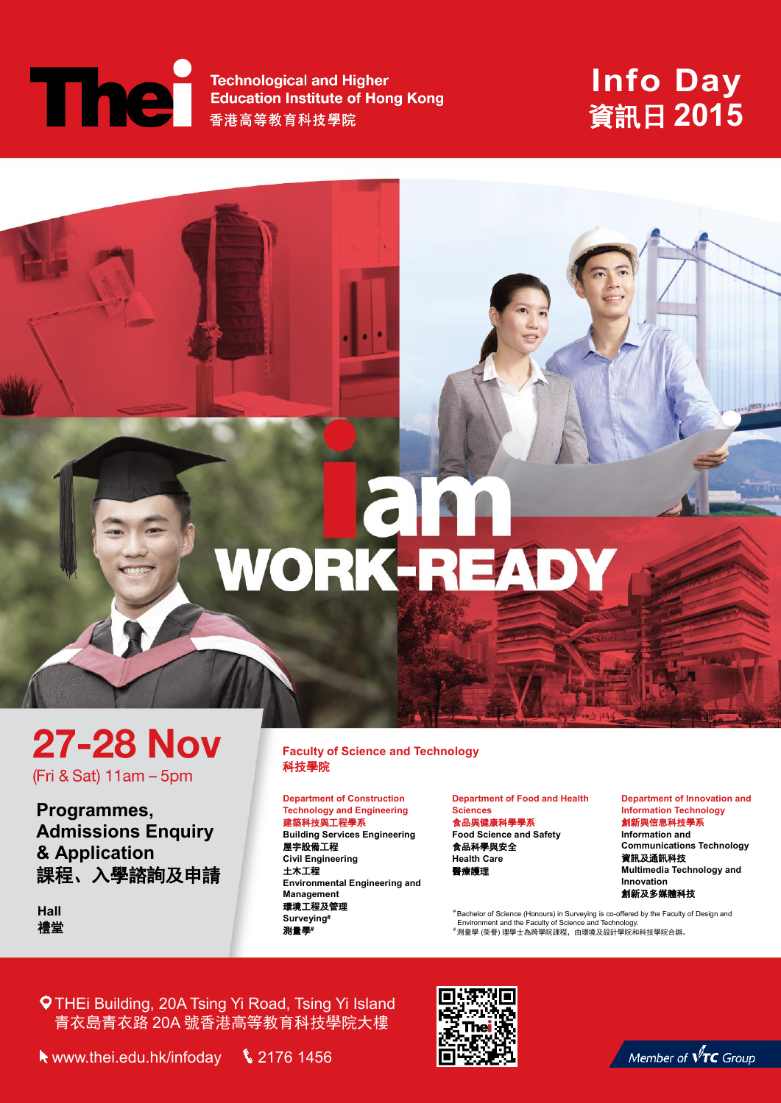# **The**

**Technological and Higher Education Institute of Hong Kong** 香港高等教育科技學院

## **Info Day** 資訊日 **2015**



**Programmes, Admissions Enquiry & Application** 課程、入學諮詢及申請

**Hall** 禮堂 **Faculty of Science and Faculty of Science and Technology**  科技學院 科技學院 **Technology Faculty of Science and Technology** 

WORK-READY

#### **Department of Construction Technology and Engineering**  建築科技與工程學系

**Building Services Engineering** 屋宇設備工程 **Civil Engineering**  土木工程 **Environmental Engineering and Management**  環境工程及管理 **Surveying#** 測量學**#**

**Department of Food and Health** 

#### **Sciences** 食品與健康科學學系 **Food Science and Safety** 食品科學與安全

**Health Care** 醫療護理

**Department of Innovation and Information Technology**

創新與信息科技學系 **Information and Communications Technology** 資訊及通訊科技 **Multimedia Technology and Innovation** 創新及多媒體科技

<sup>#</sup> Bachelor of Science (Honours) in Surveying is co-offered by the Faculty of Design and<br>[Environment and the Faculty of Science and Technology.<br><sup>#</sup>測量學 (榮譽) 理學士為跨學院課程,由環境及設計學院和科技學院合辦。

THEi Building, 20A Tsing Yi Road, Tsing Yi Island 青衣島青衣路 20A 號香港高等教育科技學院大樓



Member of  $\sqrt[r]{\text{TC}}$  Group

www.thei.edu.hk/infoday2176 1456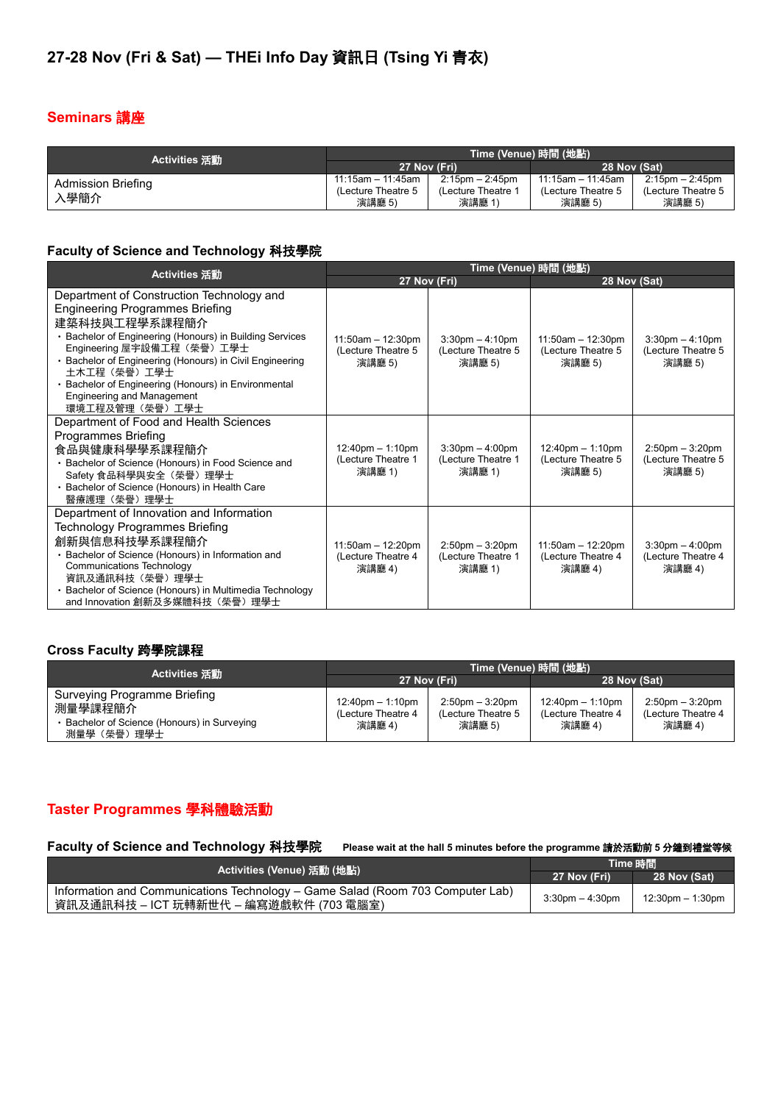### **Seminars** 講座

| Activities 活動             | Time (Venue) 時間 (地點) |                      |                      |                      |
|---------------------------|----------------------|----------------------|----------------------|----------------------|
|                           | 27 Nov (Fri)         |                      | 28 Nov (Sat)         |                      |
| <b>Admission Briefing</b> | $11:15$ am - 11:45am | $2:15$ pm $-2:45$ pm | $11:15$ am - 11:45am | $2:15$ pm $-2:45$ pm |
| 、學簡介                      | (Lecture Theatre 5)  | (Lecture Theatre 1   | (Lecture Theatre 5)  | (Lecture Theatre 5)  |
|                           | 演講廳 5)               | 演講廳 1                | 演講廳 5)               | 演講廳 5)               |

#### **Faculty of Science and Technology** 科技學院

| Activities 活動                                                                                                                                                                                                                                                                                                                                                                         | Time (Venue) 時間 (地點)                                               |                                                      |                                                                    |                                                      |
|---------------------------------------------------------------------------------------------------------------------------------------------------------------------------------------------------------------------------------------------------------------------------------------------------------------------------------------------------------------------------------------|--------------------------------------------------------------------|------------------------------------------------------|--------------------------------------------------------------------|------------------------------------------------------|
|                                                                                                                                                                                                                                                                                                                                                                                       | 27 Nov (Fri)                                                       |                                                      | 28 Nov (Sat)                                                       |                                                      |
| Department of Construction Technology and<br><b>Engineering Programmes Briefing</b><br>建築科技與工程學系課程簡介<br>Bachelor of Engineering (Honours) in Building Services<br>Engineering 屋宇設備工程(榮譽)工學士<br>• Bachelor of Engineering (Honours) in Civil Engineering<br>土木工程(榮譽)工學士<br>• Bachelor of Engineering (Honours) in Environmental<br><b>Engineering and Management</b><br>環境工程及管理(榮譽)工學士 | $11:50am - 12:30pm$<br>(Lecture Theatre 5<br>演講廳 5)                | $3:30$ pm $-4:10$ pm<br>(Lecture Theatre 5<br>演講廳 5) | $11:50am - 12:30pm$<br>(Lecture Theatre 5<br>演講廳 5)                | $3:30$ pm $-4:10$ pm<br>(Lecture Theatre 5<br>演講廳 5) |
| Department of Food and Health Sciences<br>Programmes Briefing<br>食品與健康科學學系課程簡介<br>• Bachelor of Science (Honours) in Food Science and<br>Safety 食品科學與安全 (榮譽) 理學士<br>· Bachelor of Science (Honours) in Health Care<br>醫療護理(榮譽)理學士                                                                                                                                                     | $12:40 \text{pm} - 1:10 \text{pm}$<br>(Lecture Theatre 1<br>演講廳 1) | $3:30$ pm $-4:00$ pm<br>(Lecture Theatre 1<br>演講廳 1) | $12:40 \text{pm} - 1:10 \text{pm}$<br>(Lecture Theatre 5<br>演講廳 5) | $2:50$ pm $-3:20$ pm<br>(Lecture Theatre 5<br>演講廳 5) |
| Department of Innovation and Information<br>Technology Programmes Briefing<br>創新與信息科技學系課程簡介<br>• Bachelor of Science (Honours) in Information and<br><b>Communications Technology</b><br>資訊及通訊科技(榮譽)理學士<br>• Bachelor of Science (Honours) in Multimedia Technology<br>and Innovation 創新及多媒體科技(榮譽)理學士                                                                                 | $11:50am - 12:20pm$<br>(Lecture Theatre 4<br>演講廳 4)                | $2:50$ pm $-3:20$ pm<br>(Lecture Theatre 1<br>演講廳 1) | $11:50am - 12:20pm$<br>(Lecture Theatre 4<br>演講廳 4)                | $3:30$ pm $-4:00$ pm<br>(Lecture Theatre 4<br>演講廳 4) |

#### **Cross Faculty** 跨學院課程

| Activities 活動                                                                                       | Time (Venue) 時間 (地點)                                               |                                                                    |                                                       |                                                       |
|-----------------------------------------------------------------------------------------------------|--------------------------------------------------------------------|--------------------------------------------------------------------|-------------------------------------------------------|-------------------------------------------------------|
|                                                                                                     | 27 Nov (Fri)                                                       |                                                                    | 28 Nov (Sat)                                          |                                                       |
| Surveying Programme Briefing<br>測量學課程簡介<br>Bachelor of Science (Honours) in Surveying<br>測暈學(榮譽)理學士 | $12:40 \text{pm} - 1:10 \text{pm}$<br>(Lecture Theatre 4<br>演講廳 4) | $2:50 \text{pm} - 3:20 \text{pm}$<br>(Lecture Theatre 5)<br>演講廳 5) | $12:40$ pm $-1:10$ pm<br>(Lecture Theatre 4<br>演講廳 4) | $2:50$ pm $-3:20$ pm<br>(Lecture Theatre 4)<br>演講廳 4) |

#### **Taster Programmes** 學科體驗活動

#### **Faculty of Science and Technology** 科技學院 **Please wait at the hall 5 minutes before the programme** 請於活動前 **<sup>5</sup>** 分鐘到禮堂等候

|                                                                                                                          | Time 時間              |                  |
|--------------------------------------------------------------------------------------------------------------------------|----------------------|------------------|
|                                                                                                                          | 27 Nov (Fri)         | 28 Nov (Sat)     |
| Information and Communications Technology – Game Salad (Room 703 Computer Lab)<br>資訊及通訊科技 – ICT 玩轉新世代 – 編寫遊戲軟件 (703 電腦室) | $3:30$ pm $-4:30$ pm | 12:30pm - 1:30pm |